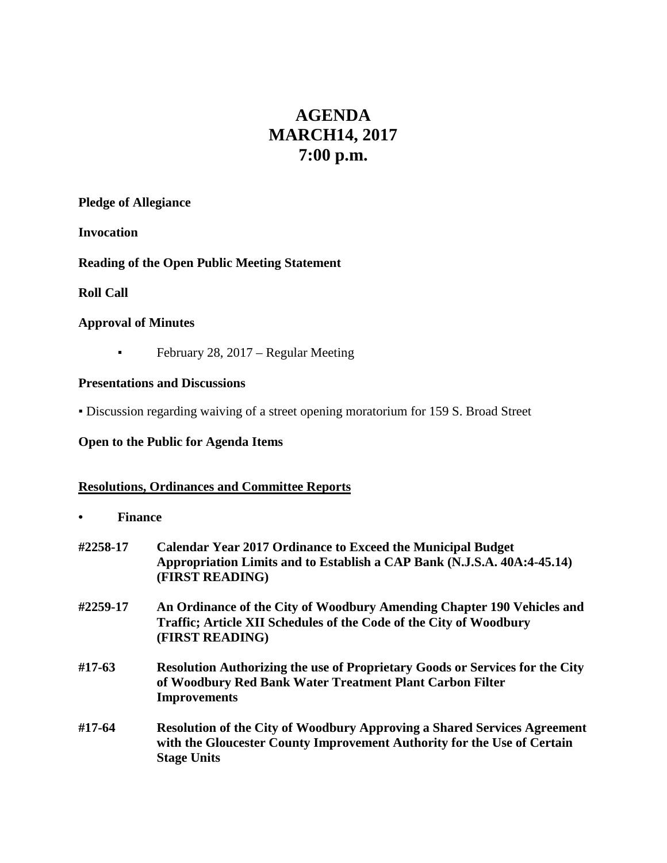# **AGENDA MARCH14, 2017 7:00 p.m.**

#### **Pledge of Allegiance**

**Invocation**

### **Reading of the Open Public Meeting Statement**

### **Roll Call**

### **Approval of Minutes**

**•** February 28, 2017 – Regular Meeting

### **Presentations and Discussions**

▪ Discussion regarding waiving of a street opening moratorium for 159 S. Broad Street

### **Open to the Public for Agenda Items**

### **Resolutions, Ordinances and Committee Reports**

- **• Finance**
- **#2258-17 Calendar Year 2017 Ordinance to Exceed the Municipal Budget Appropriation Limits and to Establish a CAP Bank (N.J.S.A. 40A:4-45.14) (FIRST READING) #2259-17 An Ordinance of the City of Woodbury Amending Chapter 190 Vehicles and Traffic; Article XII Schedules of the Code of the City of Woodbury (FIRST READING)**
- **#17-63 Resolution Authorizing the use of Proprietary Goods or Services for the City of Woodbury Red Bank Water Treatment Plant Carbon Filter Improvements**
- **#17-64 Resolution of the City of Woodbury Approving a Shared Services Agreement with the Gloucester County Improvement Authority for the Use of Certain Stage Units**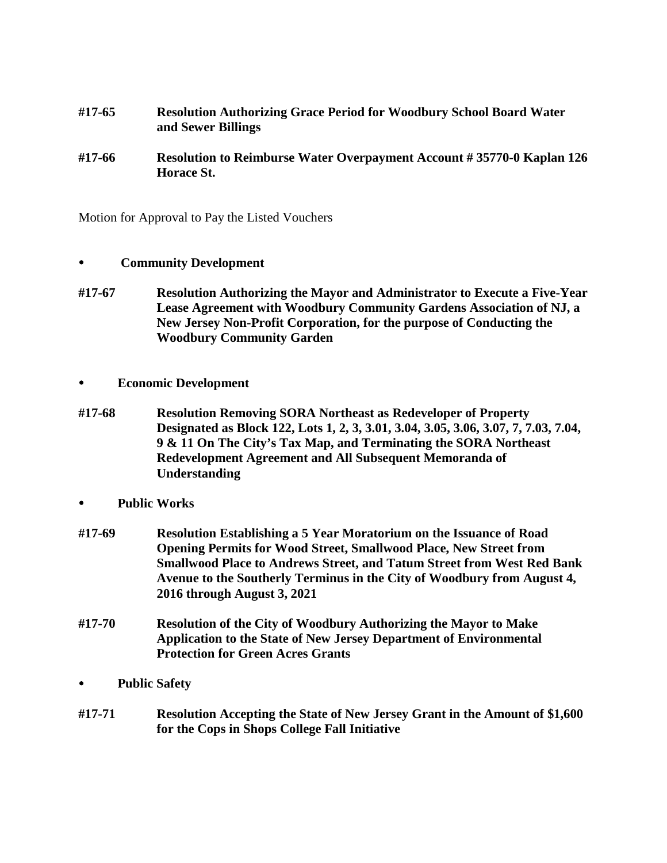- **#17-65 Resolution Authorizing Grace Period for Woodbury School Board Water and Sewer Billings**
- **#17-66 Resolution to Reimburse Water Overpayment Account # 35770-0 Kaplan 126 Horace St.**

Motion for Approval to Pay the Listed Vouchers

- **Community Development**
- **#17-67 Resolution Authorizing the Mayor and Administrator to Execute a Five-Year Lease Agreement with Woodbury Community Gardens Association of NJ, a New Jersey Non-Profit Corporation, for the purpose of Conducting the Woodbury Community Garden**
- **Economic Development**
- **#17-68 Resolution Removing SORA Northeast as Redeveloper of Property Designated as Block 122, Lots 1, 2, 3, 3.01, 3.04, 3.05, 3.06, 3.07, 7, 7.03, 7.04, 9 & 11 On The City's Tax Map, and Terminating the SORA Northeast Redevelopment Agreement and All Subsequent Memoranda of Understanding**
- **Public Works**
- **#17-69 Resolution Establishing a 5 Year Moratorium on the Issuance of Road Opening Permits for Wood Street, Smallwood Place, New Street from Smallwood Place to Andrews Street, and Tatum Street from West Red Bank Avenue to the Southerly Terminus in the City of Woodbury from August 4, 2016 through August 3, 2021**
- **#17-70 Resolution of the City of Woodbury Authorizing the Mayor to Make Application to the State of New Jersey Department of Environmental Protection for Green Acres Grants**
- **Public Safety**
- **#17-71 Resolution Accepting the State of New Jersey Grant in the Amount of \$1,600 for the Cops in Shops College Fall Initiative**